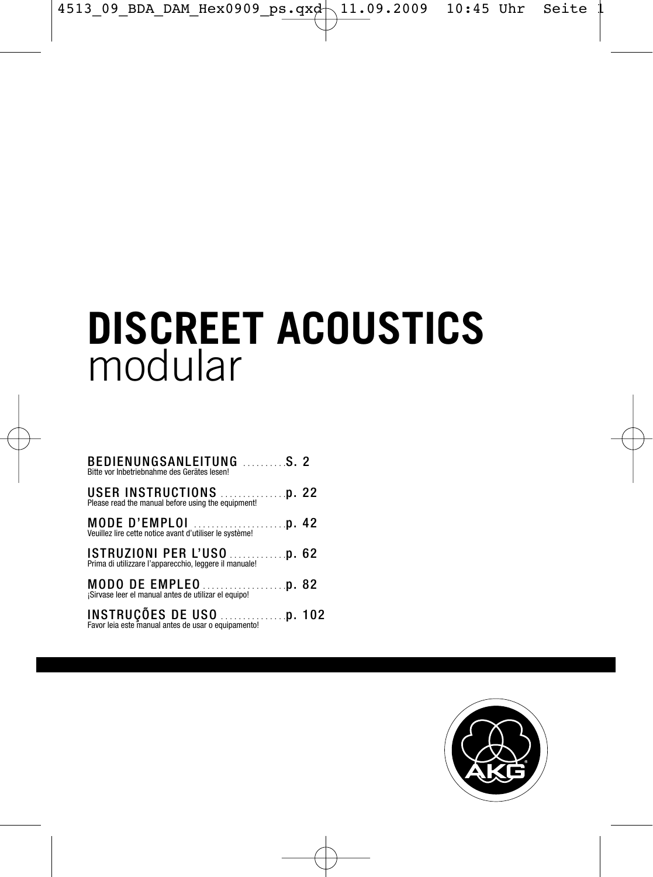# **DISCREET ACOUSTICS** modular

| BEDIENUNGSANLEITUNG S. 2<br>Bitte vor Inbetriebnahme des Gerätes lesen!                |  |
|----------------------------------------------------------------------------------------|--|
| <b>USER INSTRUCTIONS</b><br>Please read the manual before using the equipment!<br>1992 |  |
| Veuillez lire cette notice avant d'utiliser le système!                                |  |
|                                                                                        |  |
| ¡Sirvase leer el manual antes de utilizar el equipo!                                   |  |
|                                                                                        |  |

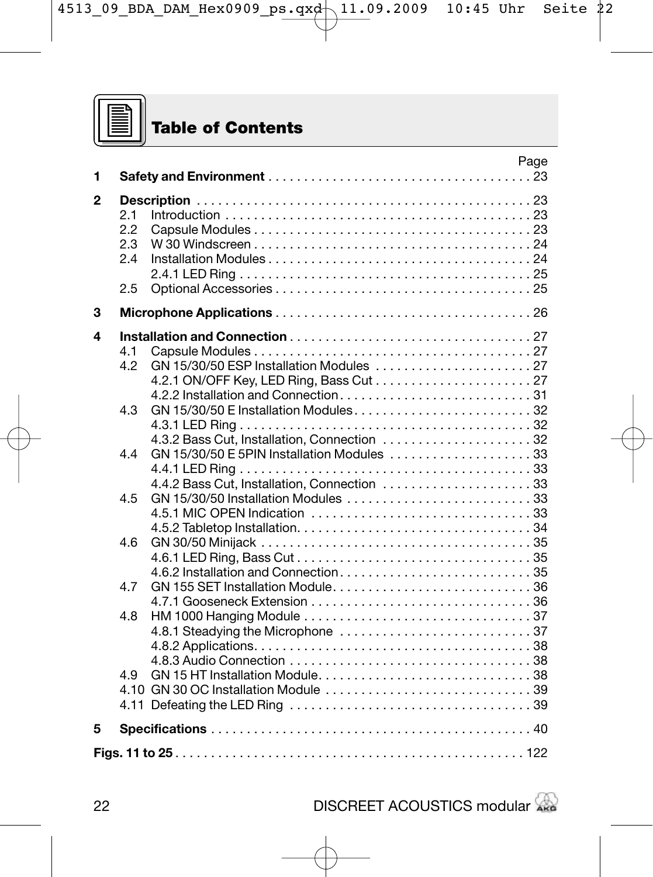

# **Table of Contents**

| 1            |                                | Page                                                                                      |
|--------------|--------------------------------|-------------------------------------------------------------------------------------------|
| $\mathbf{2}$ | 2.1<br>2.2<br>2.3<br>24<br>2.5 | W 30 Windscreen $\dots\dots\dots\dots\dots\dots\dots\dots\dots\dots\dots\dots$            |
| 3            |                                |                                                                                           |
| 4            | 4.1<br>4.2                     |                                                                                           |
|              | 4.3                            | 4.3.2 Bass Cut, Installation, Connection  32                                              |
|              | 44                             | GN 15/30/50 E 5PIN Installation Modules 33<br>4.4.2 Bass Cut. Installation. Connection 33 |
|              | 4.5                            |                                                                                           |
|              | 4.6                            |                                                                                           |
|              | 4.7                            |                                                                                           |
|              | 4.8                            |                                                                                           |
|              | 4.9                            |                                                                                           |
| 5            |                                |                                                                                           |
|              |                                |                                                                                           |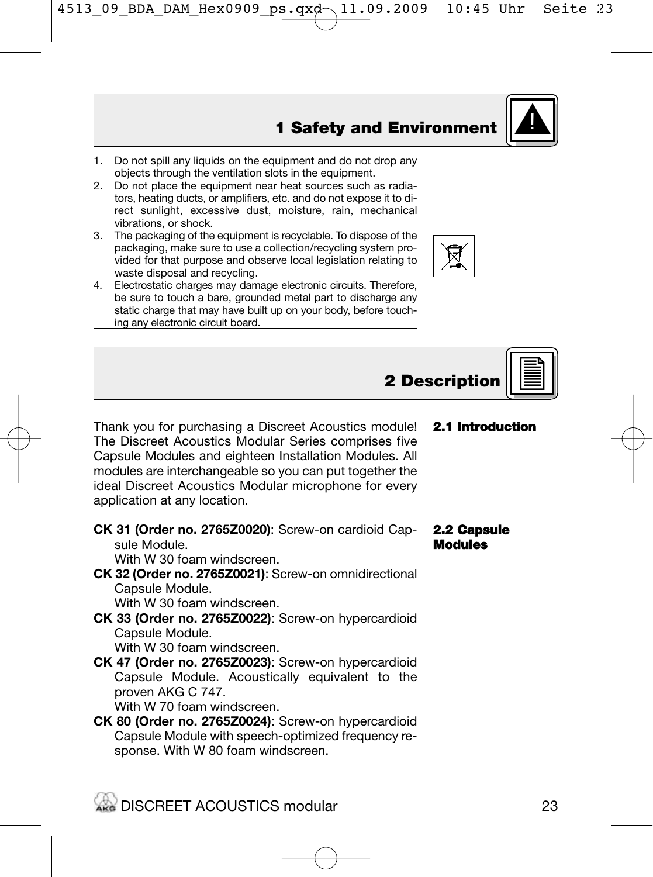- 1. Do not spill any liquids on the equipment and do not drop any objects through the ventilation slots in the equipment.
- 2. Do not place the equipment near heat sources such as radiators, heating ducts, or amplifiers, etc. and do not expose it to direct sunlight, excessive dust, moisture, rain, mechanical vibrations, or shock.
- 3. The packaging of the equipment is recyclable. To dispose of the packaging, make sure to use a collection/recycling system provided for that purpose and observe local legislation relating to waste disposal and recycling.
- 4. Electrostatic charges may damage electronic circuits. Therefore, be sure to touch a bare, grounded metal part to discharge any static charge that may have built up on your body, before touching any electronic circuit board.

Thank you for purchasing a Discreet Acoustics module! The Discreet Acoustics Modular Series comprises five Capsule Modules and eighteen Installation Modules. All modules are interchangeable so you can put together the ideal Discreet Acoustics Modular microphone for every application at any location.

## **CK 31 (Order no. 2765Z0020)**: Screw-on cardioid Capsule Module.

With W 30 foam windscreen.

#### **CK 32 (Order no. 2765Z0021)**: Screw-on omnidirectional Capsule Module. With W 30 foam windscreen.

- 
- **CK 33 (Order no. 2765Z0022)**: Screw-on hypercardioid Capsule Module.

With W 30 foam windscreen.

- **CK 47 (Order no. 2765Z0023)**: Screw-on hypercardioid Capsule Module. Acoustically equivalent to the proven AKG C 747.
	- With W 70 foam windscreen.
- **CK 80 (Order no. 2765Z0024)**: Screw-on hypercardioid Capsule Module with speech-optimized frequency response. With W 80 foam windscreen.

## **2.1 Introduction**

#### **2.2 Capsule Modules**



**2 Descriptio** 

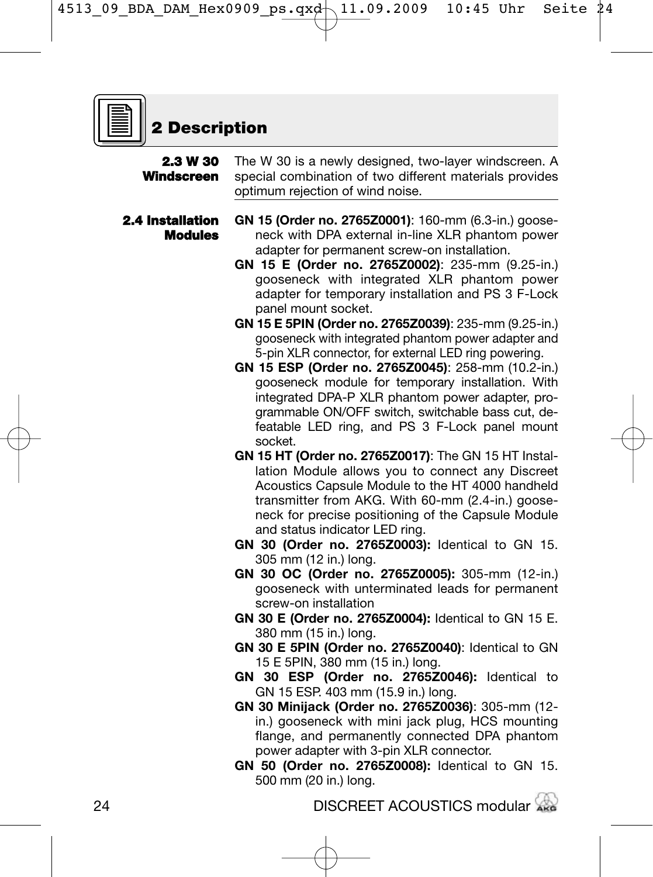

# **2 Description**

| 2.3 W 30<br>Windscreen             | The W 30 is a newly designed, two-layer windscreen. A<br>special combination of two different materials provides<br>optimum rejection of wind noise.                                                                                                                                                                                                                                                                                                                                                                                                                                                                                                                                                                                                                                                                                                                                                                                                                                                                                                                                                                                                                                                                                                                                                                                                                                                                                                                                                                                                                                                                                                                                                                                                                                                                                                                            |  |  |  |
|------------------------------------|---------------------------------------------------------------------------------------------------------------------------------------------------------------------------------------------------------------------------------------------------------------------------------------------------------------------------------------------------------------------------------------------------------------------------------------------------------------------------------------------------------------------------------------------------------------------------------------------------------------------------------------------------------------------------------------------------------------------------------------------------------------------------------------------------------------------------------------------------------------------------------------------------------------------------------------------------------------------------------------------------------------------------------------------------------------------------------------------------------------------------------------------------------------------------------------------------------------------------------------------------------------------------------------------------------------------------------------------------------------------------------------------------------------------------------------------------------------------------------------------------------------------------------------------------------------------------------------------------------------------------------------------------------------------------------------------------------------------------------------------------------------------------------------------------------------------------------------------------------------------------------|--|--|--|
| 2.4 Installation<br><b>Modules</b> | GN 15 (Order no. 2765Z0001): 160-mm (6.3-in.) goose-<br>neck with DPA external in-line XLR phantom power<br>adapter for permanent screw-on installation.<br>GN 15 E (Order no. 2765Z0002): 235-mm (9.25-in.)<br>gooseneck with integrated XLR phantom power<br>adapter for temporary installation and PS 3 F-Lock<br>panel mount socket.<br>GN 15 E 5PIN (Order no. 2765Z0039): 235-mm (9.25-in.)<br>gooseneck with integrated phantom power adapter and<br>5-pin XLR connector, for external LED ring powering.<br>GN 15 ESP (Order no. 2765Z0045): 258-mm (10.2-in.)<br>gooseneck module for temporary installation. With<br>integrated DPA-P XLR phantom power adapter, pro-<br>grammable ON/OFF switch, switchable bass cut, de-<br>featable LED ring, and PS 3 F-Lock panel mount<br>socket.<br>GN 15 HT (Order no. 2765Z0017): The GN 15 HT Instal-<br>lation Module allows you to connect any Discreet<br>Acoustics Capsule Module to the HT 4000 handheld<br>transmitter from AKG. With 60-mm (2.4-in.) goose-<br>neck for precise positioning of the Capsule Module<br>and status indicator LED ring.<br>GN 30 (Order no. 2765Z0003): Identical to GN 15.<br>305 mm (12 in.) long.<br>GN 30 OC (Order no. 2765Z0005): 305-mm (12-in.)<br>gooseneck with unterminated leads for permanent<br>screw-on installation<br>GN 30 E (Order no. 2765Z0004): Identical to GN 15 E.<br>380 mm (15 in.) long.<br>GN 30 E 5PIN (Order no. 2765Z0040): Identical to GN<br>15 E 5PIN, 380 mm (15 in.) long.<br>GN 30 ESP (Order no. 2765Z0046): Identical to<br>GN 15 ESP. 403 mm (15.9 in.) long.<br>GN 30 Minijack (Order no. 2765Z0036): 305-mm (12-<br>in.) gooseneck with mini jack plug, HCS mounting<br>flange, and permanently connected DPA phantom<br>power adapter with 3-pin XLR connector.<br>GN 50 (Order no. 2765Z0008): Identical to GN 15.<br>500 mm (20 in.) long. |  |  |  |
|                                    |                                                                                                                                                                                                                                                                                                                                                                                                                                                                                                                                                                                                                                                                                                                                                                                                                                                                                                                                                                                                                                                                                                                                                                                                                                                                                                                                                                                                                                                                                                                                                                                                                                                                                                                                                                                                                                                                                 |  |  |  |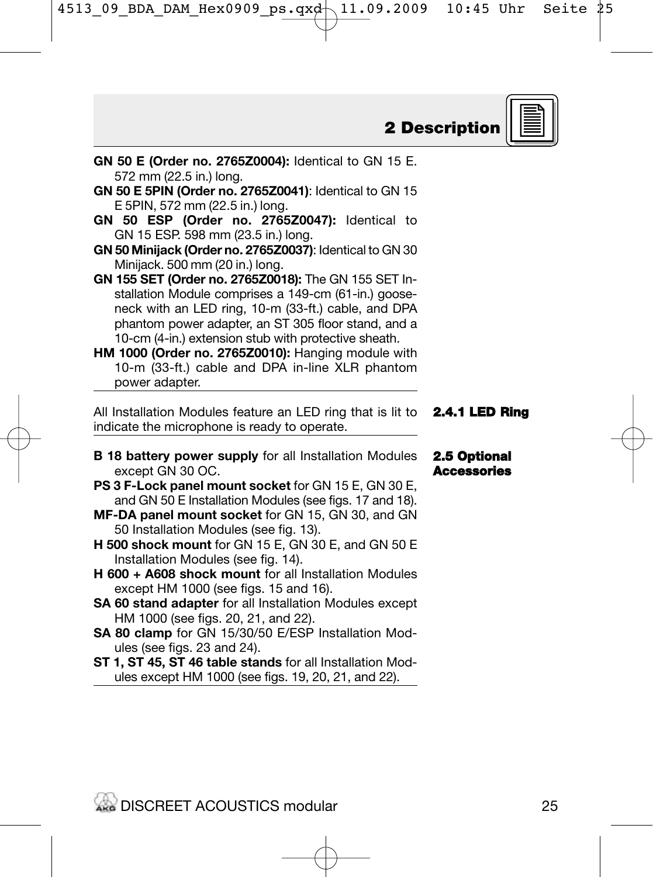**GN 50 E (Order no. 2765Z0004):** Identical to GN 15 E.

**GN 50 E 5PIN (Order no. 2765Z0041)**: Identical to GN 15

**GN 50 ESP (Order no. 2765Z0047):** Identical to

**GN 50 Minijack (Order no. 2765Z0037)**: Identical to GN 30

572 mm (22.5 in.) long.

E 5PIN, 572 mm (22.5 in.) long.

GN 15 ESP. 598 mm (23.5 in.) long.

- **B 18 battery power supply** for all Installation Modules
- **PS 3 F-Lock panel mount socket** for GN 15 E, GN 30 E, and GN 50 E Installation Modules (see figs. 17 and 18).
- 50 Installation Modules (see fig. 13).
- **H 500 shock mount** for GN 15 E, GN 30 E, and GN 50 E
- **H 600 + A608 shock mount** for all Installation Modules
- **SA 60 stand adapter** for all Installation Modules except
- **SA 80 clamp** for GN 15/30/50 E/ESP Installation Mod-
- **ST 1, ST 45, ST 46 table stands** for all Installation Modules except HM 1000 (see figs. 19, 20, 21, and 22).

**2 Description**

| Minijack. 500 mm (20 in.) long.                                                   |                    |
|-----------------------------------------------------------------------------------|--------------------|
| GN 155 SET (Order no. 2765Z0018): The GN 155 SET In-                              |                    |
| stallation Module comprises a 149-cm (61-in.) goose-                              |                    |
| neck with an LED ring, 10-m (33-ft.) cable, and DPA                               |                    |
| phantom power adapter, an ST 305 floor stand, and a                               |                    |
| 10-cm (4-in.) extension stub with protective sheath.                              |                    |
| HM 1000 (Order no. 2765Z0010): Hanging module with                                |                    |
| 10-m (33-ft.) cable and DPA in-line XLR phantom                                   |                    |
| power adapter.                                                                    |                    |
| All Installation Modules feature an LED ring that is lit to <b>2.4.1 LED Ring</b> |                    |
| indicate the microphone is ready to operate.                                      |                    |
|                                                                                   |                    |
| <b>B 18 battery power supply</b> for all Installation Modules                     | 2.5 Optional       |
| except GN 30 OC.                                                                  | <b>Accessories</b> |
| PS 3 F-Lock panel mount socket for GN 15 E, GN 30 E,                              |                    |
| and GN 50 E Installation Modules (see figs. 17 and 18).                           |                    |
| MF-DA panel mount socket for GN 15, GN 30, and GN                                 |                    |
| 50 Installation Modules (see fig. 13).                                            |                    |
| <b>H 500 shock mount</b> for GN 15 E, GN 30 E, and GN 50 E                        |                    |
| Installation Modules (see fig. 14).                                               |                    |
| <b>H 600 + A608 shock mount for all Installation Modules</b>                      |                    |
| except HM 1000 (see figs. 15 and 16).                                             |                    |
| SA 60 stand adapter for all Installation Modules except                           |                    |
| HM 1000 (see figs. 20, 21, and 22).                                               |                    |
| SA 80 clamp for GN 15/30/50 E/ESP Installation Mod-                               |                    |
| ules (see figs. 23 and 24).                                                       |                    |
| ST 1, ST 45, ST 46 table stands for all Installation Mod-                         |                    |
|                                                                                   |                    |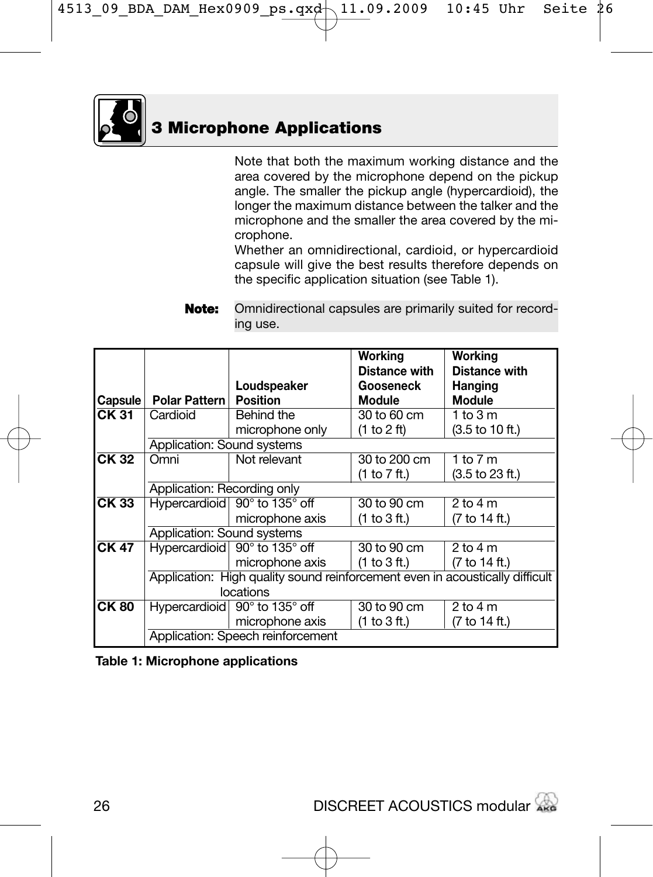

Note that both the maximum working distance and the area covered by the microphone depend on the pickup angle. The smaller the pickup angle (hypercardioid), the longer the maximum distance between the talker and the microphone and the smaller the area covered by the microphone.

Whether an omnidirectional, cardioid, or hypercardioid capsule will give the best results therefore depends on the specific application situation (see Table 1).

**Note:** Omnidirectional capsules are primarily suited for recording use.

|                  |                             |                                                                              | Working<br>Distance with | Working<br><b>Distance with</b> |
|------------------|-----------------------------|------------------------------------------------------------------------------|--------------------------|---------------------------------|
|                  |                             | Loudspeaker                                                                  | Gooseneck                | <b>Hanging</b>                  |
| Capsule          | Polar Pattern               | <b>Position</b>                                                              | Module                   | <b>Module</b>                   |
| CK 31            | Cardioid                    | Behind the                                                                   | 30 to 60 cm              | 1 to 3 m                        |
|                  |                             | microphone only                                                              | (1 to 2 ft)              | (3.5 to 10 ft.)                 |
|                  | Application: Sound systems  |                                                                              |                          |                                 |
| CK 32            | Omni                        | Not relevant                                                                 | 30 to 200 cm             | 1 to $7m$                       |
|                  |                             |                                                                              | (1 to 7 ft.)             | (3.5 to 23 ft.)                 |
|                  | Application: Recording only |                                                                              |                          |                                 |
| CK <sub>33</sub> |                             | Hypercardioid 90° to 135° off                                                | 30 to 90 cm              | $2$ to $4$ m                    |
|                  |                             | microphone axis                                                              | (1 to 3 ft.)             | (7 to 14 ft.)                   |
|                  | Application: Sound systems  |                                                                              |                          |                                 |
| CK 47            |                             | Hypercardioid 90° to 135° off                                                | 30 to 90 cm              | $2$ to $4$ m                    |
|                  |                             | microphone axis                                                              | (1 to 3 ft.)             | (7 to 14 ft.)                   |
|                  |                             | Application: High quality sound reinforcement even in acoustically difficult |                          |                                 |
|                  |                             |                                                                              |                          |                                 |
| <b>CK80</b>      |                             | Hypercardioid 90° to 135° off                                                | 30 to 90 cm              | $2$ to $4$ m                    |
|                  |                             | microphone axis                                                              | (1 to 3 ft.)             | (7 to 14 ft.)                   |
|                  |                             | Application: Speech reinforcement                                            |                          |                                 |

**Table 1: Microphone applications**

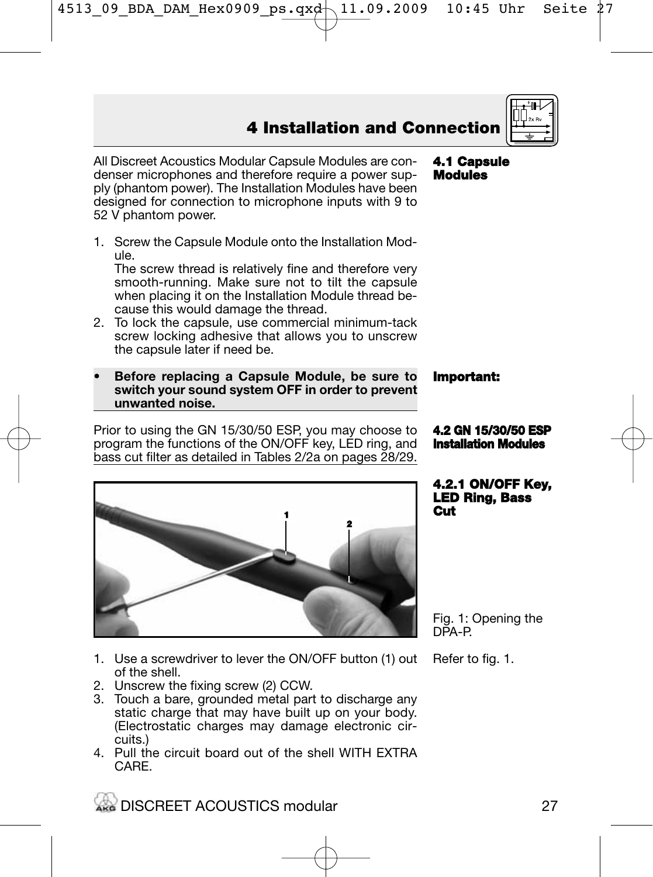All Discreet Acoustics Modular Capsule Modules are condenser microphones and therefore require a power supply (phantom power). The Installation Modules have been designed for connection to microphone inputs with 9 to 52 V phantom power.

1. Screw the Capsule Module onto the Installation Module.

The screw thread is relatively fine and therefore very smooth-running. Make sure not to tilt the capsule when placing it on the Installation Module thread because this would damage the thread.

- 2. To lock the capsule, use commercial minimum-tack screw locking adhesive that allows you to unscrew the capsule later if need be.
- **Before replacing a Capsule Module, be sure to switch your sound system OFF in order to prevent unwanted noise.**

Prior to using the GN 15/30/50 ESP, you may choose to program the functions of the ON/OFF key, LED ring, and bass cut filter as detailed in Tables 2/2a on pages 28/29.

1. Use a screwdriver to lever the ON/OFF button (1) out of the shell.

- 2. Unscrew the fixing screw (2) CCW.
- 3. Touch a bare, grounded metal part to discharge any static charge that may have built up on your body. (Electrostatic charges may damage electronic circuits.)
- 4. Pull the circuit board out of the shell WITH EXTRA CARE.

**4.2 GN 15/30/50 ESP Installation Modules**

**4.2.1 ON/OFF Key, LED Ring, Bass Cut**

Fig. 1: Opening the DPA-P.

Refer to fig. 1.







# **Important:**

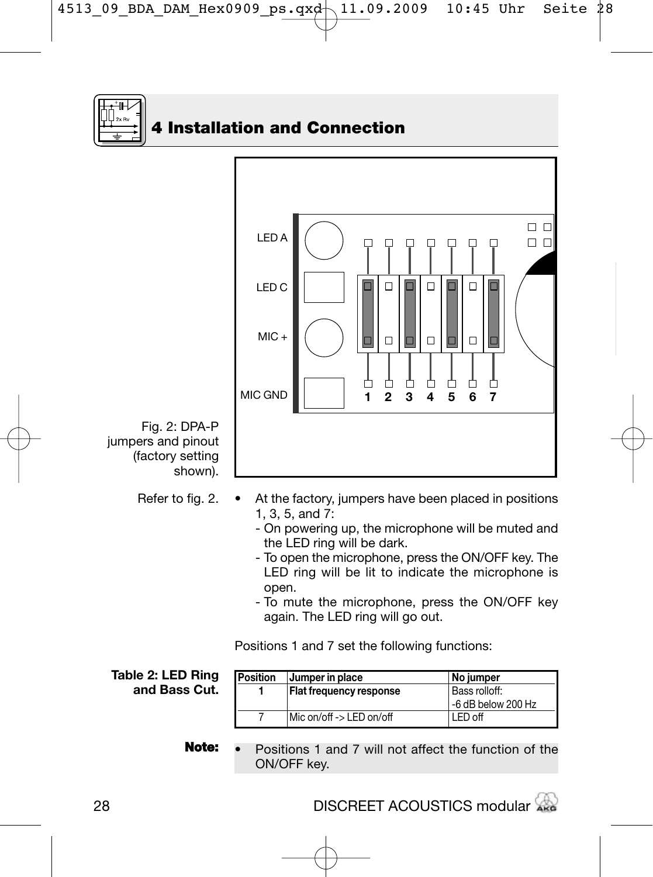



Fig. 2: DPA-P jumpers and pinout (factory setting

- Refer to fig. 2.
- At the factory, jumpers have been placed in positions 1, 3, 5, and  $7$ :
	- On powering up, the microphone will be muted and the LED ring will be dark.
	- To open the microphone, press the ON/OFF key. The LED ring will be lit to indicate the microphone is open.
	- To mute the microphone, press the ON/OFF key again. The LED ring will go out.

Positions 1 and 7 set the following functions:

**Table 2: LED Ring and Bass Cut.**

| Position | Jumper in place                | <b>No jumper</b>   |
|----------|--------------------------------|--------------------|
|          | <b>Flat frequency response</b> | Bass rolloff:      |
|          |                                | -6 dB below 200 Hz |
|          | Mic on/off -> LED on/off       | LED off            |

**Note:** • Positions 1 and 7 will not affect the function of the ON/OFF key.

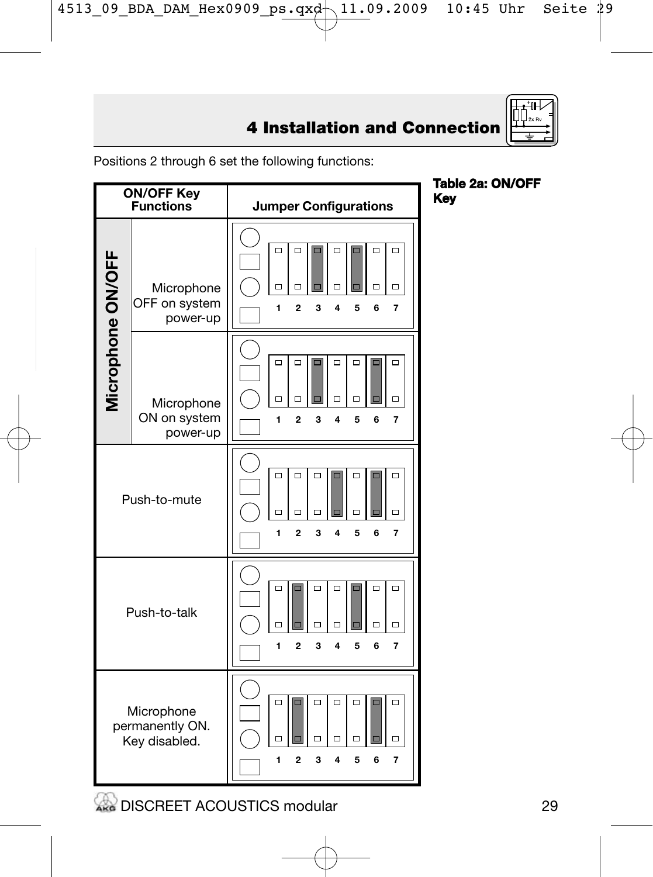

Positions 2 through 6 set the following functions:



**WE DISCREET ACOUSTICS modular**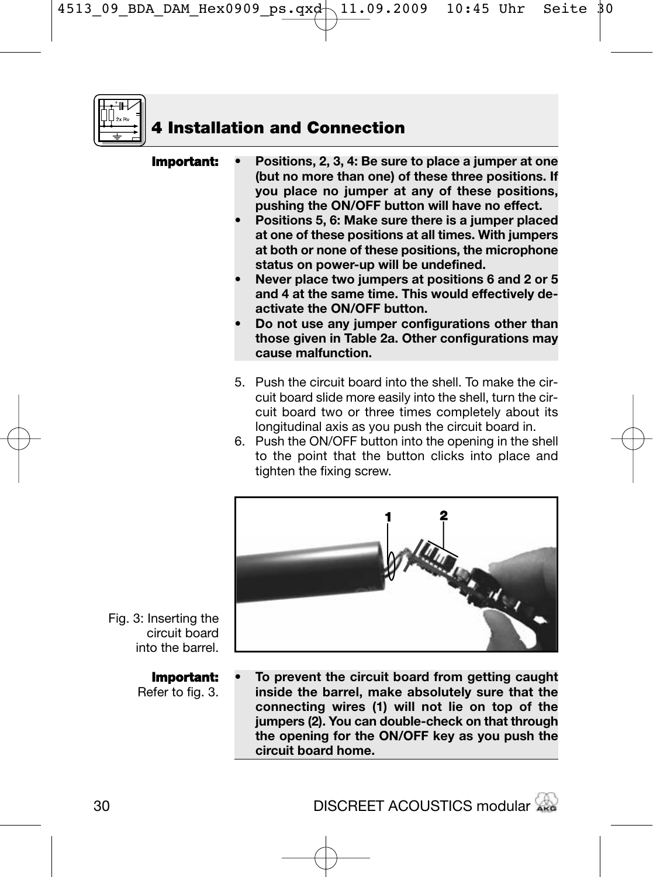

| Important: | Positions, 2, 3, 4: Be sure to place a jumper at one<br>(but no more than one) of these three positions. If |
|------------|-------------------------------------------------------------------------------------------------------------|
|            | you place no jumper at any of these positions,<br>pushing the ON/OFF button will have no effect.            |

- **Positions 5, 6: Make sure there is a jumper placed at one of these positions at all times. With jumpers at both or none of these positions, the microphone status on power-up will be undefined.**
- **Never place two jumpers at positions 6 and 2 or 5 and 4 at the same time. This would effectively deactivate the ON/OFF button.**
- **Do not use any jumper configurations other than those given in Table 2a. Other configurations may cause malfunction.**
- 5. Push the circuit board into the shell. To make the circuit board slide more easily into the shell, turn the circuit board two or three times completely about its longitudinal axis as you push the circuit board in.
- 6. Push the ON/OFF button into the opening in the shell to the point that the button clicks into place and tighten the fixing screw.



Fig. 3: Inserting the circuit board into the barrel.

#### **Important:**

Refer to fig. 3.

**• To prevent the circuit board from getting caught inside the barrel, make absolutely sure that the connecting wires (1) will not lie on top of the jumpers (2). You can double-check on that through the opening for the ON/OFF key as you push the circuit board home.**

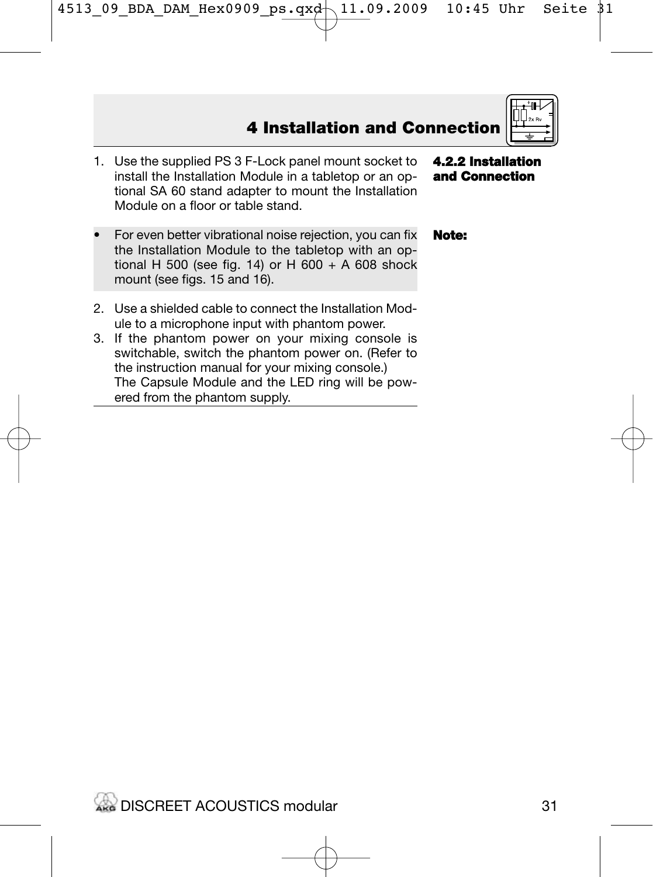- 1. Use the supplied PS 3 F-Lock panel mount socket to install the Installation Module in a tabletop or an optional SA 60 stand adapter to mount the Installation Module on a floor or table stand.
- For even better vibrational noise rejection, you can fix the Installation Module to the tabletop with an optional H 500 (see fig. 14) or H 600 + A 608 shock mount (see figs. 15 and 16).
- 2. Use a shielded cable to connect the Installation Module to a microphone input with phantom power.
- 3. If the phantom power on your mixing console is switchable, switch the phantom power on. (Refer to the instruction manual for your mixing console.) The Capsule Module and the LED ring will be powered from the phantom supply.

**4.2.2 Installation and Connection**

#### **Note:**

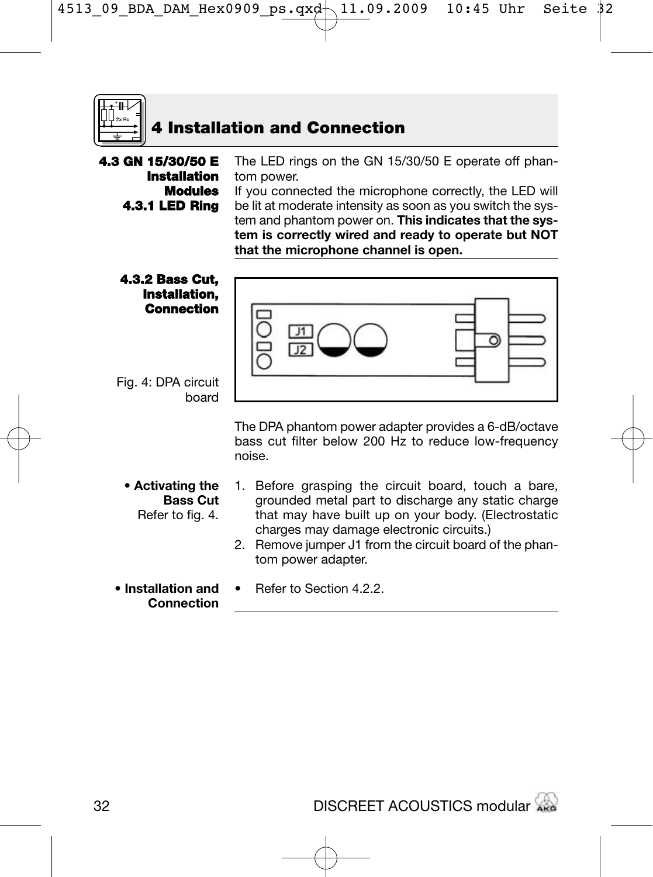

**4.3 GN 15/30/50 E** The LED rings on the GN 15/30/50 E operate off phan-**Installation** tom power. **Modules** If you connected the microphone correctly, the LED will **4.3.1 LED Ring** be lit at moderate intensity as soon as you switch the system and phantom power on. **This indicates that the system is correctly wired and ready to operate but NOT that the microphone channel is open. 4.3.2 Bass Cut, Installation, Connection** ত

• Refer to Section 4.2.2.

Fig. 4: DPA circuit board

> The DPA phantom power adapter provides a 6-dB/octave bass cut filter below 200 Hz to reduce low-frequency noise.

- **Activating the Bass Cut** Refer to fig. 4.
- 1. Before grasping the circuit board, touch a bare, grounded metal part to discharge any static charge that may have built up on your body. (Electrostatic charges may damage electronic circuits.)
- 2. Remove jumper J1 from the circuit board of the phantom power adapter.
- **Installation and Connection**

DISCREET ACOUSTICS modular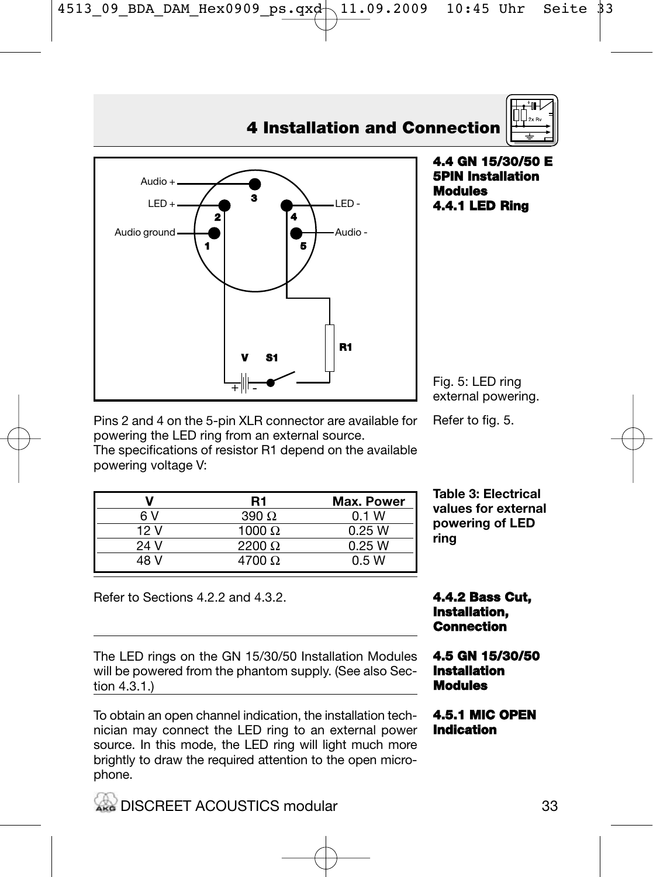

## **4.4 GN 15/30/50 E 5PIN Installation Modules 4.4.1 LED Ring**

Fig. 5: LED ring external powering.

**Table 3: Electrical values for external powering of LED**

**ring**

Pins 2 and 4 on the 5-pin XLR connector are available for powering the LED ring from an external source.

The specifications of resistor R1 depend on the available powering voltage V:

**V R1 Max. Power**

| 6 V  | $390 \Omega$  | 0.1 W  |
|------|---------------|--------|
| 12 V | 1000 $\Omega$ | 0.25 W |
| 24 V | 2200 $\Omega$ | 0.25 W |
| 48 V | 4700 $\Omega$ | 0.5W   |

Refer to Sections 4.2.2 and 4.3.2.

The LED rings on the GN 15/30/50 Installation Modules will be powered from the phantom supply. (See also Section 4.3.1.)

#### To obtain an open channel indication, the installation technician may connect the LED ring to an external power source. In this mode, the LED ring will light much more brightly to draw the required attention to the open microphone.

## **4.4.2 Bass Cut, Installation, Connection**

### **4.5 GN 15/30/50 Installation Modules**

## **4.5.1 MIC OPEN Indication**

## Refer to fig. 5.

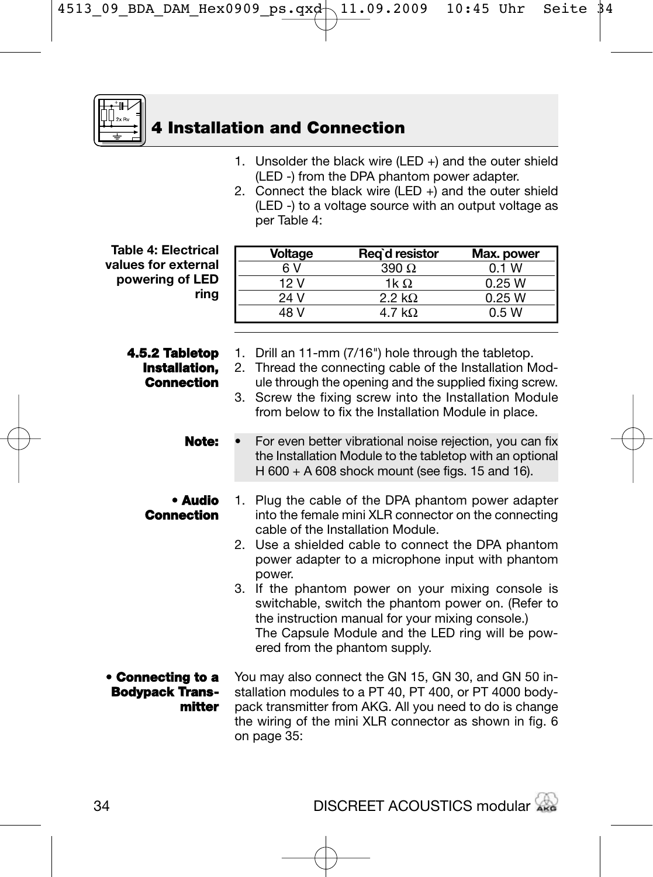

- 1. Unsolder the black wire (LED +) and the outer shield (LED -) from the DPA phantom power adapter.
- 2. Connect the black wire (LED +) and the outer shield (LED -) to a voltage source with an output voltage as per Table 4:

**Table 4: Electrical values for external powering of LED ring**

> **4.5.2 Tabletop Installation, Connection**

| Voltage | Reg`d resistor | Max. power |
|---------|----------------|------------|
| 6 V     | $390 \Omega$   | 0.1 W      |
| 12 V    | 1k O.          | 0.25 W     |
| 24 V    | 2.2 k $\Omega$ | 0.25 W     |
| 48 V    | 4.7 kO         | 0.5W       |

- 1. Drill an 11-mm (7/16") hole through the tabletop.
- 2. Thread the connecting cable of the Installation Module through the opening and the supplied fixing screw.
- 3. Screw the fixing screw into the Installation Module from below to fix the Installation Module in place.

**Note:**

- For even better vibrational noise rejection, you can fix the Installation Module to the tabletop with an optional H 600 + A 608 shock mount (see figs. 15 and 16).
- **• Audio Connection**
	- 1. Plug the cable of the DPA phantom power adapter into the female mini XLR connector on the connecting cable of the Installation Module.
		- 2. Use a shielded cable to connect the DPA phantom power adapter to a microphone input with phantom power.
		- 3. If the phantom power on your mixing console is switchable, switch the phantom power on. (Refer to the instruction manual for your mixing console.) The Capsule Module and the LED ring will be powered from the phantom supply.

#### **• Connecting to a Bodypack Transmitter**

You may also connect the GN 15, GN 30, and GN 50 installation modules to a PT 40, PT 400, or PT 4000 bodypack transmitter from AKG. All you need to do is change the wiring of the mini XLR connector as shown in fig. 6 on page 35:

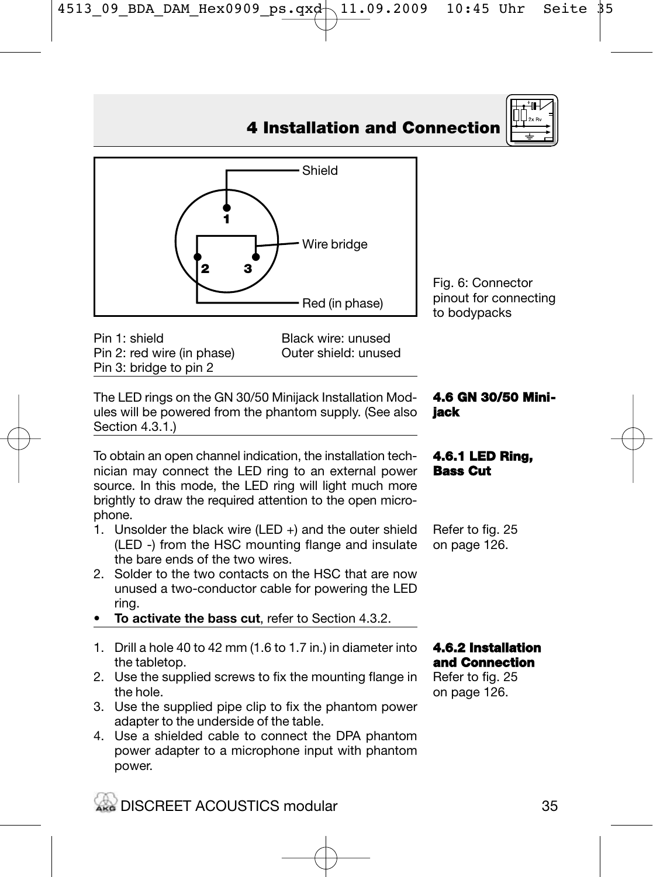

Pin 1: shield Black wire: unused<br>Pin 2: red wire (in phase) Duter shield: unused Pin 2: red wire (in phase) Pin 3: bridge to pin 2

**•**

**1**

**• •**

**2 3**

The LED rings on the GN 30/50 Minijack Installation Modules will be powered from the phantom supply. (See also Section 4.3.1.)

To obtain an open channel indication, the installation technician may connect the LED ring to an external power source. In this mode, the LED ring will light much more brightly to draw the required attention to the open microphone.

- 1. Unsolder the black wire (LED +) and the outer shield (LED -) from the HSC mounting flange and insulate the bare ends of the two wires.
- 2. Solder to the two contacts on the HSC that are now unused a two-conductor cable for powering the LED ring.
- **To activate the bass cut**, refer to Section 4.3.2.
- 1. Drill a hole 40 to 42 mm (1.6 to 1.7 in.) in diameter into the tabletop.
- 2. Use the supplied screws to fix the mounting flange in the hole.
- 3. Use the supplied pipe clip to fix the phantom power adapter to the underside of the table.
- 4. Use a shielded cable to connect the DPA phantom power adapter to a microphone input with phantom power.

Fig. 6: Connector pinout for connecting to bodypacks

**4.6 GN 30/50 Mini-**

**4.6.1 LED Ring, Bass Cut**

**jack**

## **4 Installation and Connection**

Shield

Wire bridge

Red (in phase)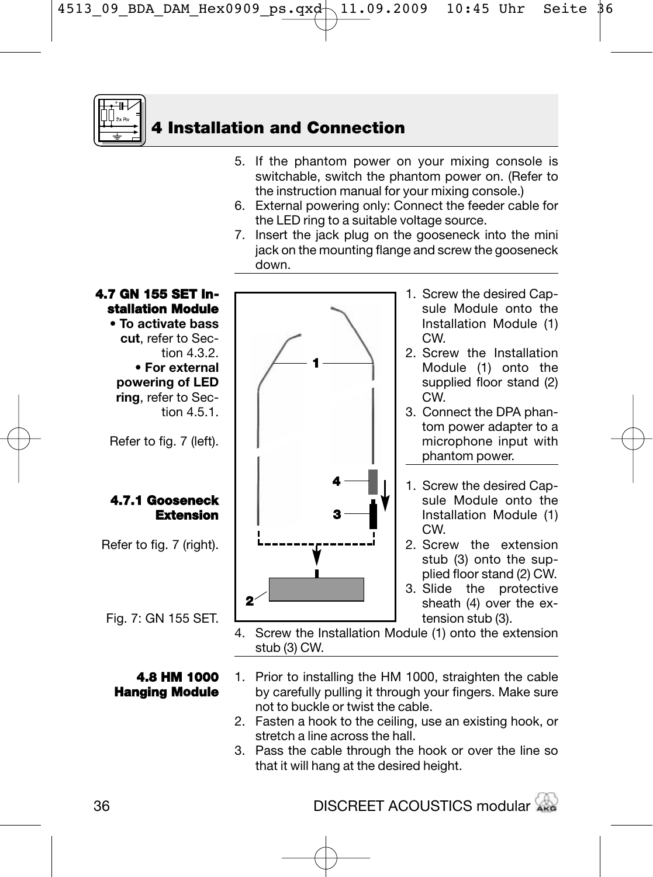

- 5. If the phantom power on your mixing console is switchable, switch the phantom power on. (Refer to the instruction manual for your mixing console.)
- 6. External powering only: Connect the feeder cable for the LED ring to a suitable voltage source.
- 7. Insert the jack plug on the gooseneck into the mini jack on the mounting flange and screw the gooseneck down.



- **4.8 HM 1000 Hanging Module**
- 1. Prior to installing the HM 1000, straighten the cable by carefully pulling it through your fingers. Make sure not to buckle or twist the cable.
- 2. Fasten a hook to the ceiling, use an existing hook, or stretch a line across the hall.
- 3. Pass the cable through the hook or over the line so that it will hang at the desired height.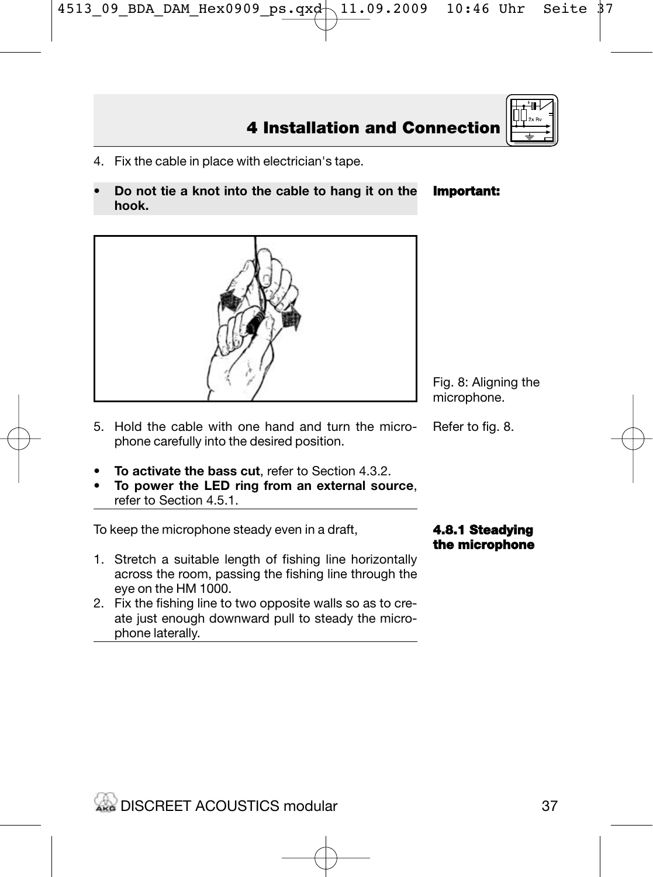37

- 4. Fix the cable in place with electrician's tape.
- **Do not tie a knot into the cable to hang it on the hook.**



- **To activate the bass cut**, refer to Section 4.3.2.
- **To power the LED ring from an external source**, refer to Section 4.5.1.

To keep the microphone steady even in a draft,

**WARE DISCREET ACOUSTICS modular** 

- 1. Stretch a suitable length of fishing line horizontally across the room, passing the fishing line through the eye on the HM 1000.
- 2. Fix the fishing line to two opposite walls so as to create just enough downward pull to steady the microphone laterally.

Fig. 8: Aligning the microphone.

Refer to fig. 8.

**4.8.1 Steadying the microphone**





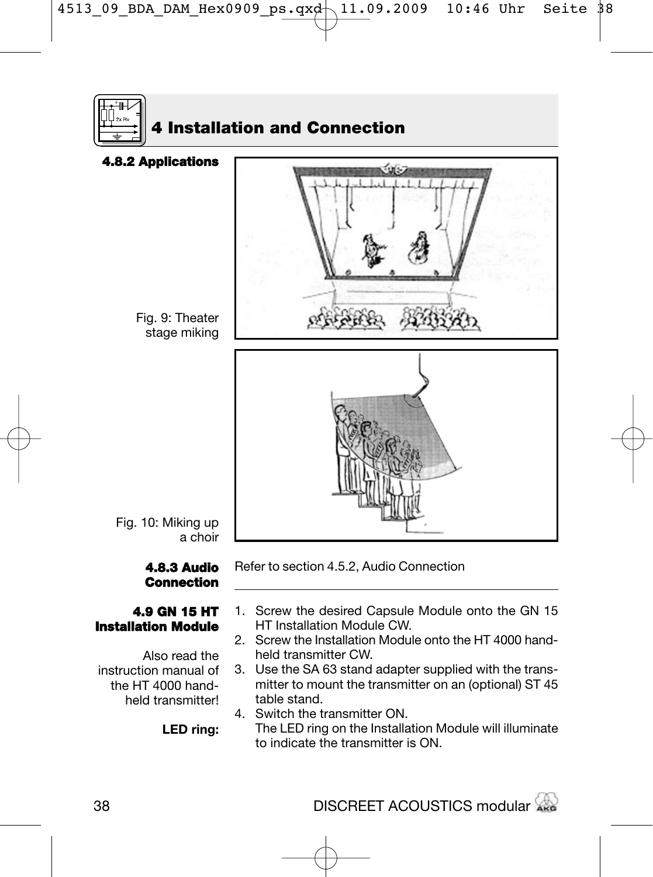

## **4.8.3 Audio Connection**

### **4.9 GN 15 HT Installation Module**

Also read the instruction manual of the HT 4000 handheld transmitter!

**LED ring:**

Refer to section 4.5.2, Audio Connection

- 1. Screw the desired Capsule Module onto the GN 15 HT Installation Module CW.
- 2. Screw the Installation Module onto the HT 4000 handheld transmitter CW.
- 3. Use the SA 63 stand adapter supplied with the transmitter to mount the transmitter on an (optional) ST 45 table stand.
- 4. Switch the transmitter ON. The LED ring on the Installation Module will illuminate to indicate the transmitter is ON.

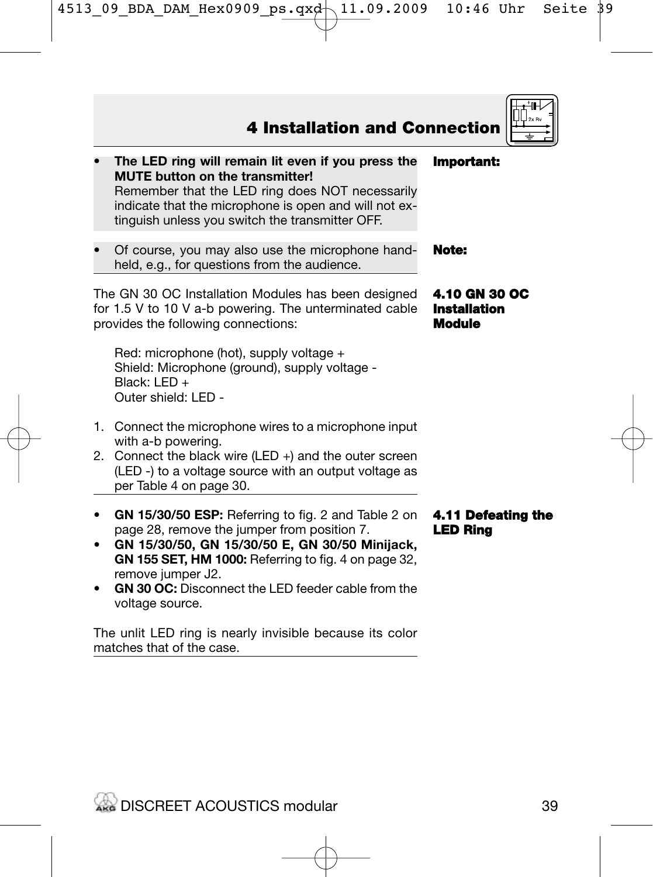

The unlit LED ring is nearly invisible because its color matches that of the case.

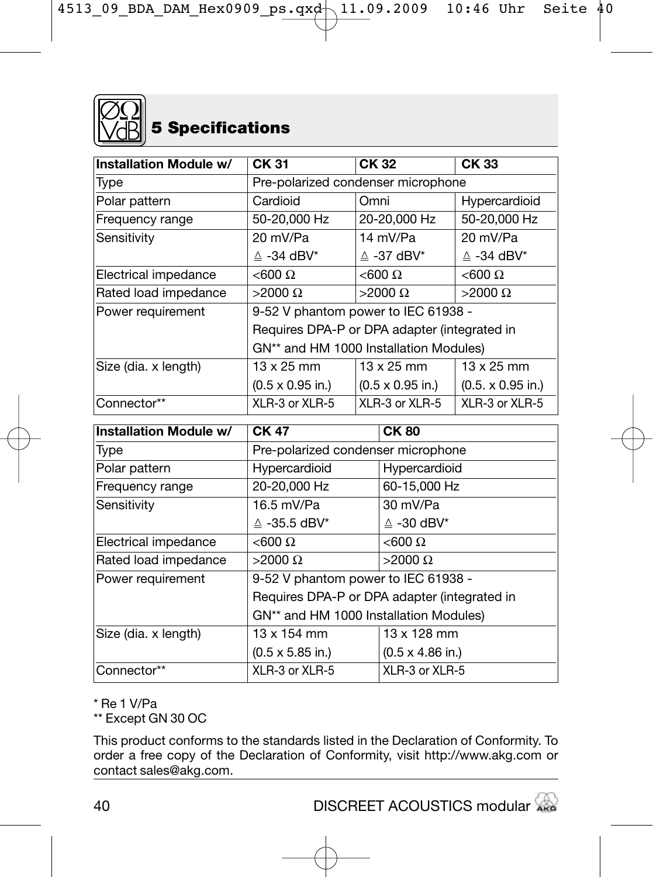

| Installation Module w/        | CK 31                                                      | CK 32        |                                 | CK <sub>33</sub>                |
|-------------------------------|------------------------------------------------------------|--------------|---------------------------------|---------------------------------|
| Type                          | Pre-polarized condenser microphone                         |              |                                 |                                 |
| Polar pattern                 | Cardioid                                                   | Omni         |                                 | Hypercardioid                   |
| Frequency range               | 50-20.000 Hz                                               | 20-20.000 Hz |                                 | 50-20.000 Hz                    |
| Sensitivity                   | 20 mV/Pa                                                   |              | 14 mV/Pa                        | 20 mV/Pa                        |
|                               | $\triangle$ -34 dBV*                                       |              | $\triangle$ -37 dBV*            | $\triangle$ -34 dBV*            |
| Electrical impedance          | $< 600 \Omega$                                             |              | $<$ 600 $\Omega$                | $< 600 \Omega$                  |
| Rated load impedance          | $>$ 2000 Ω                                                 |              | $>2000 \Omega$                  | $>$ 2000 Ω                      |
| Power requirement             | 9-52 V phantom power to IEC 61938 -                        |              |                                 |                                 |
|                               | Requires DPA-P or DPA adapter (integrated in               |              |                                 |                                 |
|                               | GN** and HM 1000 Installation Modules)                     |              |                                 |                                 |
| Size (dia. x length)          | $13 \times 25$ mm                                          |              | $13 \times 25$ mm               | $13 \times 25$ mm               |
|                               | $(0.5 \times 0.95 \text{ in.})$                            |              | $(0.5 \times 0.95 \text{ in.})$ | $(0.5 \times 0.95 \text{ in.})$ |
| Connector**                   | XLR-3 or XLR-5                                             |              | XLR-3 or XLR-5                  | XLR-3 or XLR-5                  |
| <b>Installation Module w/</b> | CK 47                                                      | <b>CK80</b>  |                                 |                                 |
| Type                          | Pre-polarized condenser microphone                         |              |                                 |                                 |
| Polar pattern                 | Hypercardioid                                              |              | Hypercardioid                   |                                 |
| Frequency range               | 20-20,000 Hz                                               |              | 60-15,000 Hz                    |                                 |
| Sensitivity                   | 16.5 mV/Pa                                                 |              | 30 mV/Pa                        |                                 |
|                               | $\triangle$ -35.5 dBV*                                     |              | $\triangle$ -30 dBV*            |                                 |
| Electrical impedance          | $< 600 \Omega$                                             |              | $< 600 \Omega$                  |                                 |
| Rated load impedance          | $>$ 2000 Ω                                                 |              | $>2000 \Omega$                  |                                 |
| Power requirement             | 9-52 V phantom power to IEC 61938 -                        |              |                                 |                                 |
|                               | Requires DPA-P or DPA adapter (integrated in               |              |                                 |                                 |
|                               | GN** and HM 1000 Installation Modules)                     |              |                                 |                                 |
| Size (dia. x length)          | 13 x 154 mm<br>13 x 128 mm                                 |              |                                 |                                 |
|                               | $(0.5 \times 5.85 \text{ in.})$<br>$(0.5 \times 4.86$ in.) |              |                                 |                                 |
| Connector**                   | XLR-3 or XLR-5<br>XLR-3 or XLR-5                           |              |                                 |                                 |

\* Re 1 V/Pa

\*\* Except GN 30 OC

This product conforms to the standards listed in the Declaration of Conformity. To order a free copy of the Declaration of Conformity, visit http://www.akg.com or contact sales@akg.com.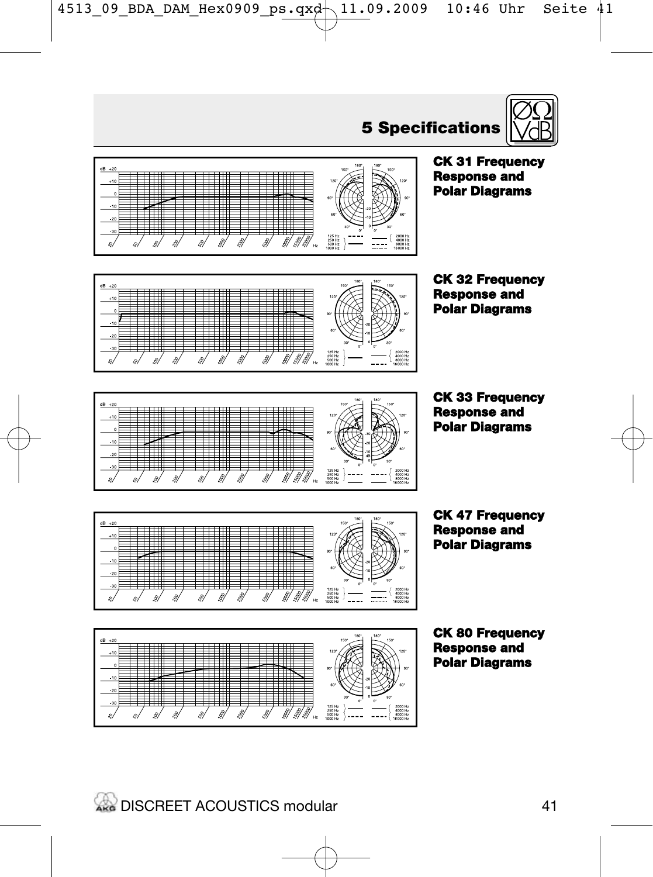



## **CK 31 Frequency Response and Polar Diagrams**

**CK 32 Frequency Response and Polar Diagrams**

**CK 33 Frequency Response and Polar Diagrams**

**CK 47 Frequency Response and Polar Diagrams**

**CK 80 Frequency Response and Polar Diagrams**



---

 $\mathcal{B}$ 31 3/3/3

Ħ

≢

 $\overline{\phantom{0}}$ 

**- 11 11** 

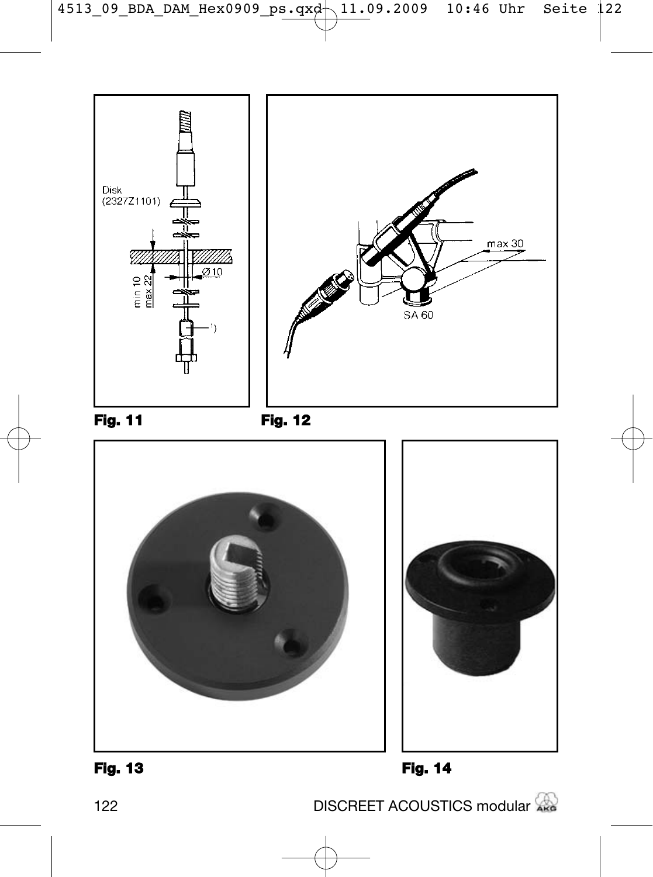



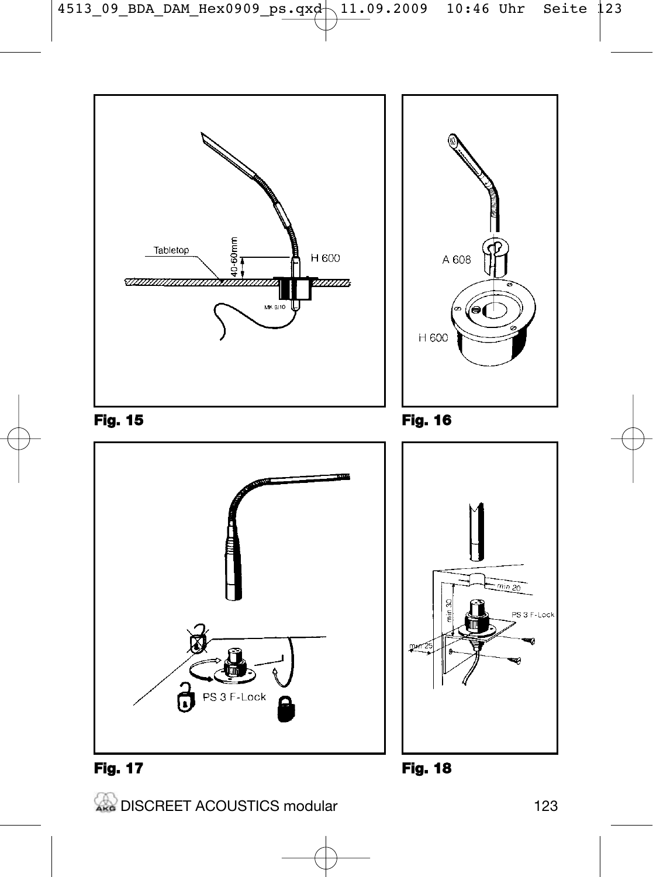

**EXAMPLE ACOUSTICS modular** 123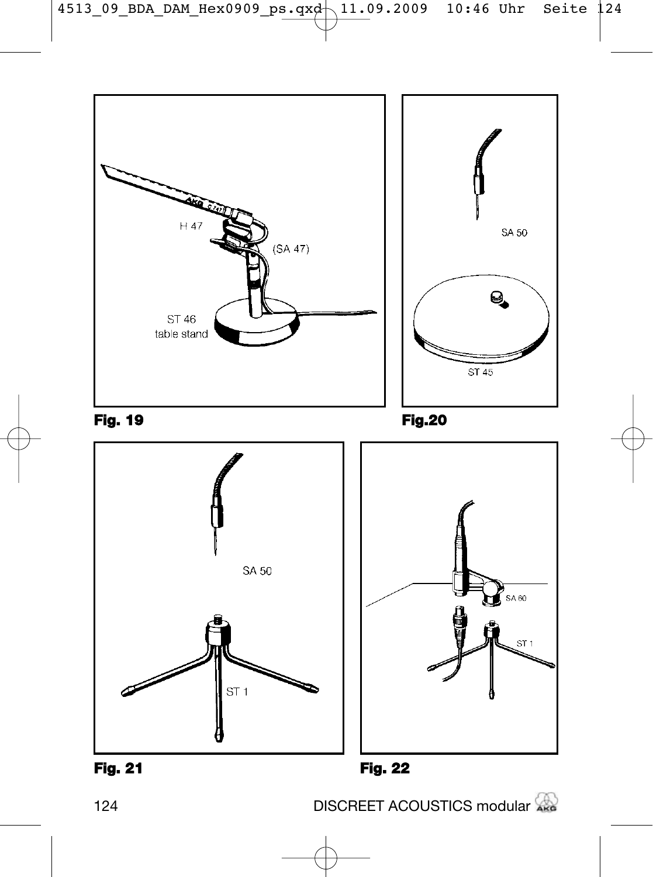

124 DISCREET ACOUSTICS modular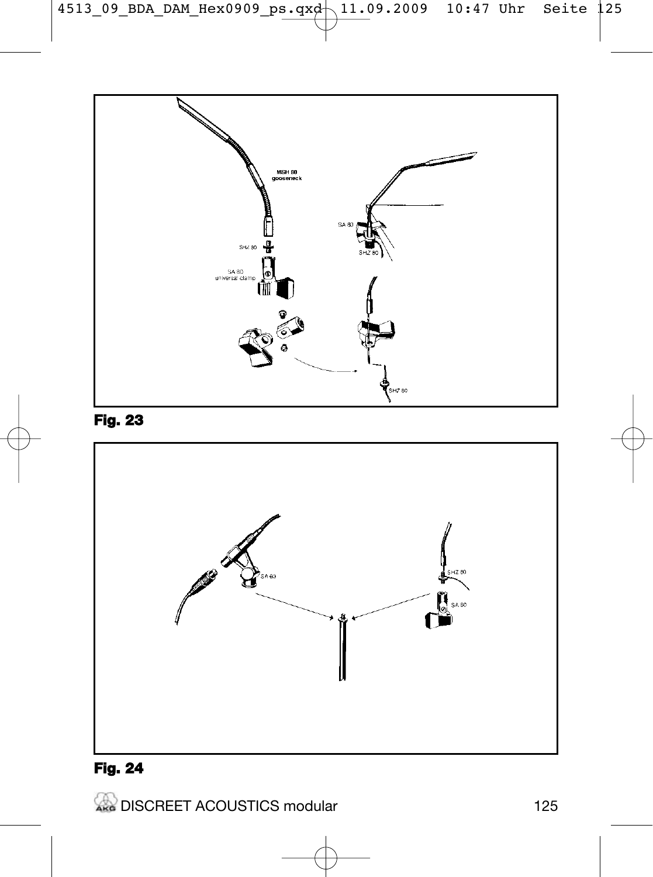

## **Fig. 23**



# **Fig. 24**

**EXAMPLE ACOUSTICS modular** 125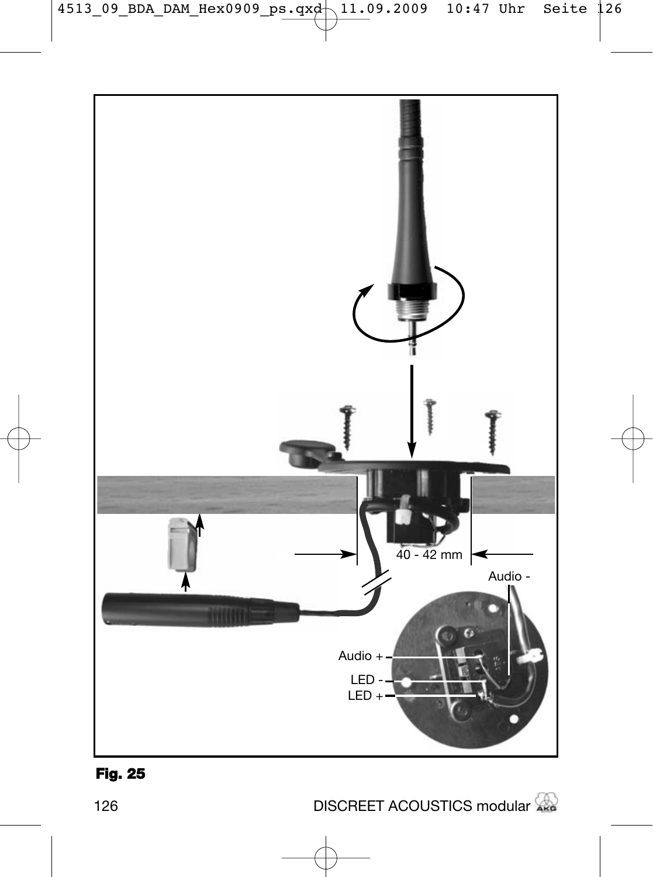

## **Fig. 25**